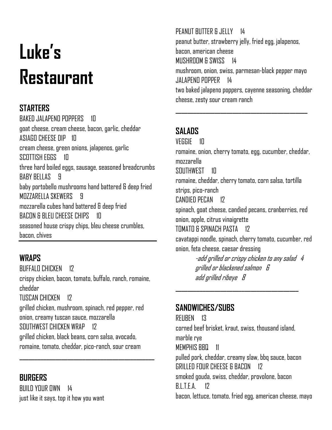# **Luke's Restaurant**

# **STARTERS**

BAKED JALAPENO POPPERS 10 goat cheese, cream cheese, bacon, garlic, cheddar ASIAGO CHEESE DIP 10 cream cheese, green onions, jalapenos, garlic SCOTTISH EGGS 10 three hard boiled eggs, sausage, seasoned breadcrumbs BABY BELLAS 9 baby portobello mushrooms hand battered & deep fried MOZZARELLA SKEWERS 9 mozzarella cubes hand battered & deep fried BACON & BLEU CHEESE CHIPS 10 seasoned house crispy chips, bleu cheese crumbles, bacon, chives

## **WRAPS**

**BUFFALO CHICKEN 17** crispy chicken, bacon, tomato, buffalo, ranch, romaine, cheddar TIISCAN CHICKEN 12 grilled chicken, mushroom, spinach, red pepper, red onion, creamy tuscan sauce, mozzarella SOUTHWEST CHICKEN WRAP 12 grilled chicken, black beans, corn salsa, avocado, romaine, tomato, cheddar, pico-ranch, sour cream

**\_\_\_\_\_\_\_\_\_\_\_\_\_\_\_\_\_\_\_\_\_\_\_\_\_\_\_\_\_\_\_\_\_\_\_\_\_\_\_\_\_\_\_\_\_**

## **BURGERS**

 $BIII$  D YOUR OWN 14 just like it says, top it how you want

#### PEANUT BUTTER & JELLY 14

peanut butter, strawberry jelly, fried egg, jalapenos, bacon, american cheese MUSHROOM & SWISS 14 mushroom, onion, swiss, parmesan-black pepper mayo JALAPENO POPPER 14 two baked jalapeno poppers, cayenne seasoning, cheddar cheese, zesty sour cream ranch

**\_\_\_\_\_\_\_\_\_\_\_\_\_\_\_\_\_\_\_\_\_\_\_\_\_\_\_\_\_\_\_\_\_\_\_\_\_\_\_\_\_\_\_\_**

## **SALADS**

VEGGIE 10 romaine, onion, cherry tomato, egg, cucumber, cheddar, mozzarella SOUTHWEST 10 romaine, cheddar, cherry tomato, corn salsa, tortilla strips, pico-ranch CANDIED PECAN 12 spinach, goat cheese, candied pecans, cranberries, red onion, apple, citrus vinaigrette TOMATO & SPINACH PASTA 12 cavatappi noodle, spinach, cherry tomato, cucumber, red onion, feta cheese, caesar dressing -add grilled or crispy chicken to any salad 4 grilled or blackened salmon 6 add grilled ribeye 8 **\_\_\_\_\_\_\_\_\_\_\_\_\_\_\_\_\_\_\_\_\_\_\_\_\_\_\_\_\_\_\_\_\_\_\_\_\_\_\_\_\_**

## **SANDWICHES/SUBS**

REUBEN 13 corned beef brisket, kraut, swiss, thousand island, marble rye MEMPHIS BBQ 11 pulled pork, cheddar, creamy slaw, bbq sauce, bacon GRILLED FOUR CHEESE & BACON 12 smoked gouda, swiss, cheddar, provolone, bacon  $RITFA$  17 bacon, lettuce, tomato, fried egg, american cheese, mayo